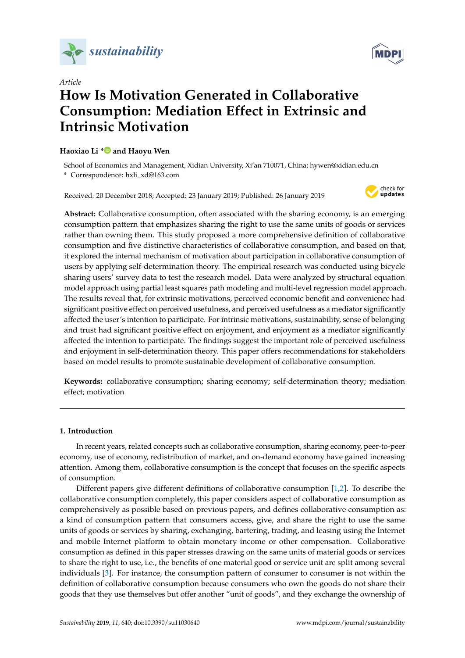



# *Article* **How Is Motivation Generated in Collaborative Consumption: Mediation Effect in Extrinsic and Intrinsic Motivation**

## **Haoxiao Li [\\*](https://orcid.org/0000-0002-1665-6122) and Haoyu Wen**

School of Economics and Management, Xidian University, Xi'an 710071, China; hywen@xidian.edu.cn **\*** Correspondence: hxli\_xd@163.com

Received: 20 December 2018; Accepted: 23 January 2019; Published: 26 January 2019



**Abstract:** Collaborative consumption, often associated with the sharing economy, is an emerging consumption pattern that emphasizes sharing the right to use the same units of goods or services rather than owning them. This study proposed a more comprehensive definition of collaborative consumption and five distinctive characteristics of collaborative consumption, and based on that, it explored the internal mechanism of motivation about participation in collaborative consumption of users by applying self-determination theory. The empirical research was conducted using bicycle sharing users' survey data to test the research model. Data were analyzed by structural equation model approach using partial least squares path modeling and multi-level regression model approach. The results reveal that, for extrinsic motivations, perceived economic benefit and convenience had significant positive effect on perceived usefulness, and perceived usefulness as a mediator significantly affected the user's intention to participate. For intrinsic motivations, sustainability, sense of belonging and trust had significant positive effect on enjoyment, and enjoyment as a mediator significantly affected the intention to participate. The findings suggest the important role of perceived usefulness and enjoyment in self-determination theory. This paper offers recommendations for stakeholders based on model results to promote sustainable development of collaborative consumption.

**Keywords:** collaborative consumption; sharing economy; self-determination theory; mediation effect; motivation

## **1. Introduction**

In recent years, related concepts such as collaborative consumption, sharing economy, peer-to-peer economy, use of economy, redistribution of market, and on-demand economy have gained increasing attention. Among them, collaborative consumption is the concept that focuses on the specific aspects of consumption.

Different papers give different definitions of collaborative consumption [\[1,](#page-11-0)[2\]](#page-11-1). To describe the collaborative consumption completely, this paper considers aspect of collaborative consumption as comprehensively as possible based on previous papers, and defines collaborative consumption as: a kind of consumption pattern that consumers access, give, and share the right to use the same units of goods or services by sharing, exchanging, bartering, trading, and leasing using the Internet and mobile Internet platform to obtain monetary income or other compensation. Collaborative consumption as defined in this paper stresses drawing on the same units of material goods or services to share the right to use, i.e., the benefits of one material good or service unit are split among several individuals [\[3\]](#page-11-2). For instance, the consumption pattern of consumer to consumer is not within the definition of collaborative consumption because consumers who own the goods do not share their goods that they use themselves but offer another "unit of goods", and they exchange the ownership of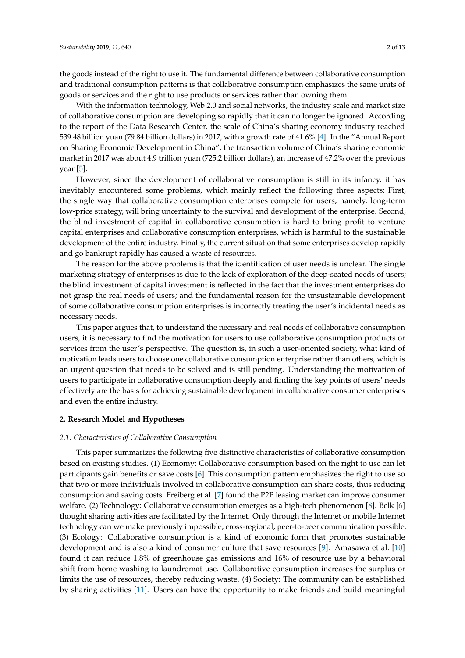the goods instead of the right to use it. The fundamental difference between collaborative consumption and traditional consumption patterns is that collaborative consumption emphasizes the same units of goods or services and the right to use products or services rather than owning them.

With the information technology, Web 2.0 and social networks, the industry scale and market size of collaborative consumption are developing so rapidly that it can no longer be ignored. According to the report of the Data Research Center, the scale of China's sharing economy industry reached 539.48 billion yuan (79.84 billion dollars) in 2017, with a growth rate of 41.6% [\[4\]](#page-11-3). In the "Annual Report on Sharing Economic Development in China", the transaction volume of China's sharing economic market in 2017 was about 4.9 trillion yuan (725.2 billion dollars), an increase of 47.2% over the previous year [\[5\]](#page-11-4).

However, since the development of collaborative consumption is still in its infancy, it has inevitably encountered some problems, which mainly reflect the following three aspects: First, the single way that collaborative consumption enterprises compete for users, namely, long-term low-price strategy, will bring uncertainty to the survival and development of the enterprise. Second, the blind investment of capital in collaborative consumption is hard to bring profit to venture capital enterprises and collaborative consumption enterprises, which is harmful to the sustainable development of the entire industry. Finally, the current situation that some enterprises develop rapidly and go bankrupt rapidly has caused a waste of resources.

The reason for the above problems is that the identification of user needs is unclear. The single marketing strategy of enterprises is due to the lack of exploration of the deep-seated needs of users; the blind investment of capital investment is reflected in the fact that the investment enterprises do not grasp the real needs of users; and the fundamental reason for the unsustainable development of some collaborative consumption enterprises is incorrectly treating the user's incidental needs as necessary needs.

This paper argues that, to understand the necessary and real needs of collaborative consumption users, it is necessary to find the motivation for users to use collaborative consumption products or services from the user's perspective. The question is, in such a user-oriented society, what kind of motivation leads users to choose one collaborative consumption enterprise rather than others, which is an urgent question that needs to be solved and is still pending. Understanding the motivation of users to participate in collaborative consumption deeply and finding the key points of users' needs effectively are the basis for achieving sustainable development in collaborative consumer enterprises and even the entire industry.

#### **2. Research Model and Hypotheses**

#### *2.1. Characteristics of Collaborative Consumption*

This paper summarizes the following five distinctive characteristics of collaborative consumption based on existing studies. (1) Economy: Collaborative consumption based on the right to use can let participants gain benefits or save costs [\[6\]](#page-11-5). This consumption pattern emphasizes the right to use so that two or more individuals involved in collaborative consumption can share costs, thus reducing consumption and saving costs. Freiberg et al. [\[7\]](#page-11-6) found the P2P leasing market can improve consumer welfare. (2) Technology: Collaborative consumption emerges as a high-tech phenomenon [\[8\]](#page-11-7). Belk [\[6\]](#page-11-5) thought sharing activities are facilitated by the Internet. Only through the Internet or mobile Internet technology can we make previously impossible, cross-regional, peer-to-peer communication possible. (3) Ecology: Collaborative consumption is a kind of economic form that promotes sustainable development and is also a kind of consumer culture that save resources [\[9\]](#page-11-8). Amasawa et al. [\[10\]](#page-11-9) found it can reduce 1.8% of greenhouse gas emissions and 16% of resource use by a behavioral shift from home washing to laundromat use. Collaborative consumption increases the surplus or limits the use of resources, thereby reducing waste. (4) Society: The community can be established by sharing activities [\[11\]](#page-11-10). Users can have the opportunity to make friends and build meaningful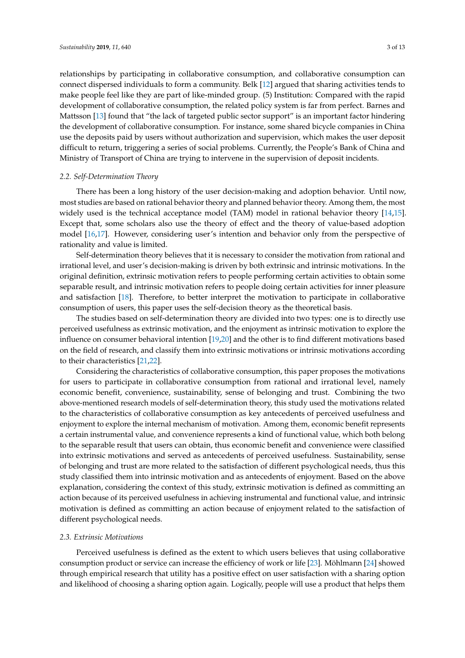relationships by participating in collaborative consumption, and collaborative consumption can connect dispersed individuals to form a community. Belk [\[12\]](#page-11-11) argued that sharing activities tends to make people feel like they are part of like-minded group. (5) Institution: Compared with the rapid development of collaborative consumption, the related policy system is far from perfect. Barnes and Mattsson [\[13\]](#page-11-12) found that "the lack of targeted public sector support" is an important factor hindering the development of collaborative consumption. For instance, some shared bicycle companies in China use the deposits paid by users without authorization and supervision, which makes the user deposit difficult to return, triggering a series of social problems. Currently, the People's Bank of China and Ministry of Transport of China are trying to intervene in the supervision of deposit incidents.

#### *2.2. Self-Determination Theory*

There has been a long history of the user decision-making and adoption behavior. Until now, most studies are based on rational behavior theory and planned behavior theory. Among them, the most widely used is the technical acceptance model (TAM) model in rational behavior theory [\[14,](#page-11-13)[15\]](#page-11-14). Except that, some scholars also use the theory of effect and the theory of value-based adoption model [\[16](#page-11-15)[,17\]](#page-11-16). However, considering user's intention and behavior only from the perspective of rationality and value is limited.

Self-determination theory believes that it is necessary to consider the motivation from rational and irrational level, and user's decision-making is driven by both extrinsic and intrinsic motivations. In the original definition, extrinsic motivation refers to people performing certain activities to obtain some separable result, and intrinsic motivation refers to people doing certain activities for inner pleasure and satisfaction [\[18\]](#page-11-17). Therefore, to better interpret the motivation to participate in collaborative consumption of users, this paper uses the self-decision theory as the theoretical basis.

The studies based on self-determination theory are divided into two types: one is to directly use perceived usefulness as extrinsic motivation, and the enjoyment as intrinsic motivation to explore the influence on consumer behavioral intention [\[19](#page-11-18)[,20\]](#page-11-19) and the other is to find different motivations based on the field of research, and classify them into extrinsic motivations or intrinsic motivations according to their characteristics [\[21,](#page-11-20)[22\]](#page-11-21).

Considering the characteristics of collaborative consumption, this paper proposes the motivations for users to participate in collaborative consumption from rational and irrational level, namely economic benefit, convenience, sustainability, sense of belonging and trust. Combining the two above-mentioned research models of self-determination theory, this study used the motivations related to the characteristics of collaborative consumption as key antecedents of perceived usefulness and enjoyment to explore the internal mechanism of motivation. Among them, economic benefit represents a certain instrumental value, and convenience represents a kind of functional value, which both belong to the separable result that users can obtain, thus economic benefit and convenience were classified into extrinsic motivations and served as antecedents of perceived usefulness. Sustainability, sense of belonging and trust are more related to the satisfaction of different psychological needs, thus this study classified them into intrinsic motivation and as antecedents of enjoyment. Based on the above explanation, considering the context of this study, extrinsic motivation is defined as committing an action because of its perceived usefulness in achieving instrumental and functional value, and intrinsic motivation is defined as committing an action because of enjoyment related to the satisfaction of different psychological needs.

#### *2.3. Extrinsic Motivations*

Perceived usefulness is defined as the extent to which users believes that using collaborative consumption product or service can increase the efficiency of work or life [\[23\]](#page-11-22). Möhlmann [\[24\]](#page-11-23) showed through empirical research that utility has a positive effect on user satisfaction with a sharing option and likelihood of choosing a sharing option again. Logically, people will use a product that helps them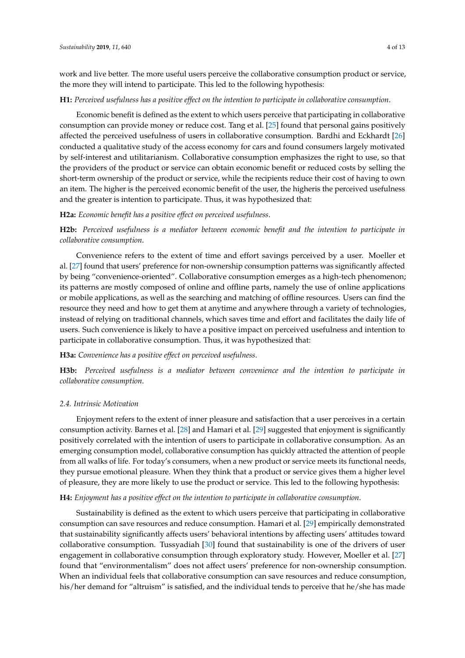work and live better. The more useful users perceive the collaborative consumption product or service, the more they will intend to participate. This led to the following hypothesis:

#### **H1:** *Perceived usefulness has a positive effect on the intention to participate in collaborative consumption*.

Economic benefit is defined as the extent to which users perceive that participating in collaborative consumption can provide money or reduce cost. Tang et al. [\[25\]](#page-11-24) found that personal gains positively affected the perceived usefulness of users in collaborative consumption. Bardhi and Eckhardt [\[26\]](#page-12-0) conducted a qualitative study of the access economy for cars and found consumers largely motivated by self-interest and utilitarianism. Collaborative consumption emphasizes the right to use, so that the providers of the product or service can obtain economic benefit or reduced costs by selling the short-term ownership of the product or service, while the recipients reduce their cost of having to own an item. The higher is the perceived economic benefit of the user, the higheris the perceived usefulness and the greater is intention to participate. Thus, it was hypothesized that:

#### **H2a:** *Economic benefit has a positive effect on perceived usefulness*.

**H2b:** *Perceived usefulness is a mediator between economic benefit and the intention to participate in collaborative consumption*.

Convenience refers to the extent of time and effort savings perceived by a user. Moeller et al. [\[27\]](#page-12-1) found that users' preference for non-ownership consumption patterns was significantly affected by being "convenience-oriented". Collaborative consumption emerges as a high-tech phenomenon; its patterns are mostly composed of online and offline parts, namely the use of online applications or mobile applications, as well as the searching and matching of offline resources. Users can find the resource they need and how to get them at anytime and anywhere through a variety of technologies, instead of relying on traditional channels, which saves time and effort and facilitates the daily life of users. Such convenience is likely to have a positive impact on perceived usefulness and intention to participate in collaborative consumption. Thus, it was hypothesized that:

# **H3a:** *Convenience has a positive effect on perceived usefulness*.

**H3b:** *Perceived usefulness is a mediator between convenience and the intention to participate in collaborative consumption*.

## *2.4. Intrinsic Motivation*

Enjoyment refers to the extent of inner pleasure and satisfaction that a user perceives in a certain consumption activity. Barnes et al. [\[28\]](#page-12-2) and Hamari et al. [\[29\]](#page-12-3) suggested that enjoyment is significantly positively correlated with the intention of users to participate in collaborative consumption. As an emerging consumption model, collaborative consumption has quickly attracted the attention of people from all walks of life. For today's consumers, when a new product or service meets its functional needs, they pursue emotional pleasure. When they think that a product or service gives them a higher level of pleasure, they are more likely to use the product or service. This led to the following hypothesis:

#### **H4:** *Enjoyment has a positive effect on the intention to participate in collaborative consumption*.

Sustainability is defined as the extent to which users perceive that participating in collaborative consumption can save resources and reduce consumption. Hamari et al. [\[29\]](#page-12-3) empirically demonstrated that sustainability significantly affects users' behavioral intentions by affecting users' attitudes toward collaborative consumption. Tussyadiah [\[30\]](#page-12-4) found that sustainability is one of the drivers of user engagement in collaborative consumption through exploratory study. However, Moeller et al. [\[27\]](#page-12-1) found that "environmentalism" does not affect users' preference for non-ownership consumption. When an individual feels that collaborative consumption can save resources and reduce consumption, his/her demand for "altruism" is satisfied, and the individual tends to perceive that he/she has made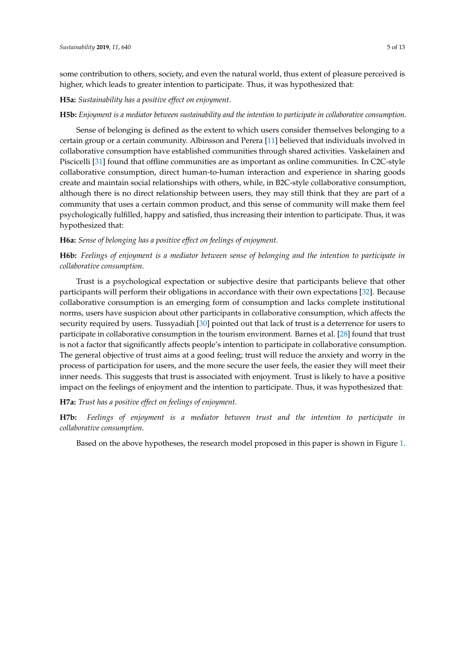some contribution to others, society, and even the natural world, thus extent of pleasure perceived is higher, which leads to greater intention to participate. Thus, it was hypothesized that:

#### **H5a:** *Sustainability has a positive effect on enjoyment*.

#### **H5b:** *Enjoyment is a mediator between sustainability and the intention to participate in collaborative consumption*.

Sense of belonging is defined as the extent to which users consider themselves belonging to a certain group or a certain community. Albinsson and Perera [\[11\]](#page-11-10) believed that individuals involved in collaborative consumption have established communities through shared activities. Vaskelainen and Piscicelli [\[31\]](#page-12-5) found that offline communities are as important as online communities. In C2C-style collaborative consumption, direct human-to-human interaction and experience in sharing goods create and maintain social relationships with others, while, in B2C-style collaborative consumption, although there is no direct relationship between users, they may still think that they are part of a community that uses a certain common product, and this sense of community will make them feel psychologically fulfilled, happy and satisfied, thus increasing their intention to participate. Thus, it was hypothesized that:

#### **H6a:** *Sense of belonging has a positive effect on feelings of enjoyment*.

**H6b:** *Feelings of enjoyment is a mediator between sense of belonging and the intention to participate in collaborative consumption*.

Trust is a psychological expectation or subjective desire that participants believe that other participants will perform their obligations in accordance with their own expectations [\[32\]](#page-12-6). Because collaborative consumption is an emerging form of consumption and lacks complete institutional norms, users have suspicion about other participants in collaborative consumption, which affects the security required by users. Tussyadiah [\[30\]](#page-12-4) pointed out that lack of trust is a deterrence for users to participate in collaborative consumption in the tourism environment. Barnes et al. [\[28\]](#page-12-2) found that trust is not a factor that significantly affects people's intention to participate in collaborative consumption. The general objective of trust aims at a good feeling; trust will reduce the anxiety and worry in the process of participation for users, and the more secure the user feels, the easier they will meet their inner needs. This suggests that trust is associated with enjoyment. Trust is likely to have a positive impact on the feelings of enjoyment and the intention to participate. Thus, it was hypothesized that:

## **H7a:** *Trust has a positive effect on feelings of enjoyment*.

**H7b:** *Feelings of enjoyment is a mediator between trust and the intention to participate in collaborative consumption*.

Based on the above hypotheses, the research model proposed in this paper is shown in Figure [1.](#page-5-0)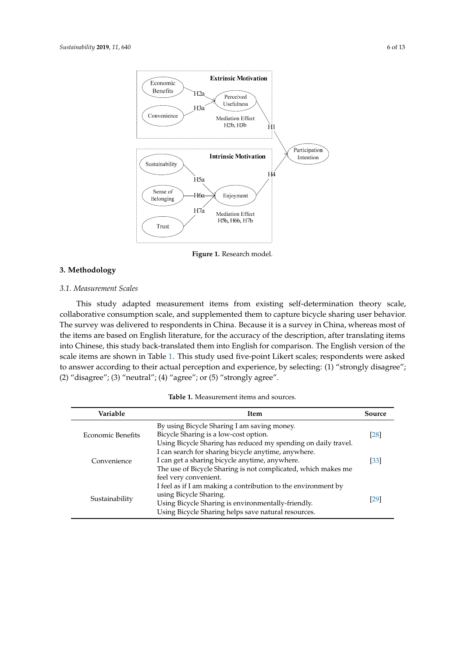<span id="page-5-0"></span>

**Figure 1.** Research model. **Figure 1.** Research model.

# **3. Methodology**

## *3.1. Measurement Scales*

This study adapted measurement items from existing self-determination theory scale, collaborative consumption scale, and supplemented them to capture bicycle sharing user behavior. The survey was delivered to respondents in China. Because it is a survey in China, whereas most of the items are based on English literature, for the accuracy of the description, after translating items into Chinese, this study back-translated them into English for comparison. The English version of the scale items are shown in Table 1. This study used five-point Likert scales; respondents were asked to answer according to their actual perception and experience, by selecting: (1) "strongly disagree"; (2) "disagree"; (3) "neutral"; (4) "agree"; or (5) "strongly agree".

| Variable          | <b>Item</b>                                                                                                                                                                                          | Source            |
|-------------------|------------------------------------------------------------------------------------------------------------------------------------------------------------------------------------------------------|-------------------|
| Economic Benefits | By using Bicycle Sharing I am saving money.<br>Bicycle Sharing is a low-cost option.                                                                                                                 | $\left[28\right]$ |
| Convenience       | Using Bicycle Sharing has reduced my spending on daily travel.<br>I can search for sharing bicycle anytime, anywhere.<br>I can get a sharing bicycle anytime, anywhere.                              | [33]              |
|                   | The use of Bicycle Sharing is not complicated, which makes me<br>feel very convenient.                                                                                                               |                   |
| Sustainability    | I feel as if I am making a contribution to the environment by<br>using Bicycle Sharing.<br>Using Bicycle Sharing is environmentally-friendly.<br>Using Bicycle Sharing helps save natural resources. | [29]              |

**Table 1.** Measurement items and sources.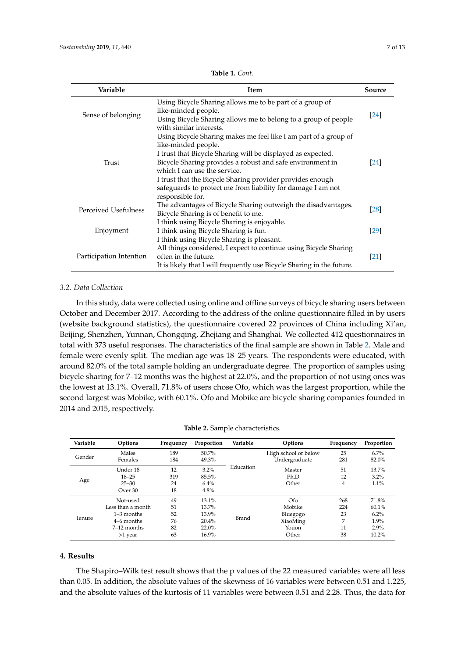<span id="page-6-0"></span>

| Variable                | Item                                                                                                                                              | Source |  |  |
|-------------------------|---------------------------------------------------------------------------------------------------------------------------------------------------|--------|--|--|
| Sense of belonging      | Using Bicycle Sharing allows me to be part of a group of<br>like-minded people.<br>Using Bicycle Sharing allows me to belong to a group of people |        |  |  |
|                         | with similar interests.                                                                                                                           |        |  |  |
|                         | Using Bicycle Sharing makes me feel like I am part of a group of<br>like-minded people.                                                           |        |  |  |
|                         | I trust that Bicycle Sharing will be displayed as expected.                                                                                       |        |  |  |
| Trust                   | Bicycle Sharing provides a robust and safe environment in                                                                                         | [24]   |  |  |
|                         | which I can use the service.                                                                                                                      |        |  |  |
|                         | I trust that the Bicycle Sharing provider provides enough                                                                                         |        |  |  |
|                         | safeguards to protect me from liability for damage I am not<br>responsible for.                                                                   |        |  |  |
| Perceived Usefulness    | The advantages of Bicycle Sharing outweigh the disadvantages.<br>Bicycle Sharing is of benefit to me.                                             | [28]   |  |  |
|                         | I think using Bicycle Sharing is enjoyable.                                                                                                       |        |  |  |
| Enjoyment               | I think using Bicycle Sharing is fun.                                                                                                             | [29]   |  |  |
|                         | I think using Bicycle Sharing is pleasant.                                                                                                        |        |  |  |
|                         | All things considered, I expect to continue using Bicycle Sharing                                                                                 |        |  |  |
| Participation Intention | often in the future.                                                                                                                              | [21]   |  |  |
|                         | It is likely that I will frequently use Bicycle Sharing in the future.                                                                            |        |  |  |

**Table 1.** *Cont.*

## *3.2. Data Collection*

In this study, data were collected using online and offline surveys of bicycle sharing users between October and December 2017. According to the address of the online questionnaire filled in by users (website background statistics), the questionnaire covered 22 provinces of China including Xi'an, Beijing, Shenzhen, Yunnan, Chongqing, Zhejiang and Shanghai. We collected 412 questionnaires in total with 373 useful responses. The characteristics of the final sample are shown in Table [2.](#page-6-1) Male and female were evenly split. The median age was 18–25 years. The respondents were educated, with around 82.0% of the total sample holding an undergraduate degree. The proportion of samples using bicycle sharing for 7–12 months was the highest at 22.0%, and the proportion of not using ones was the lowest at 13.1%. Overall, 71.8% of users chose Ofo, which was the largest proportion, while the second largest was Mobike, with 60.1%. Ofo and Mobike are bicycle sharing companies founded in 2014 and 2015, respectively.

<span id="page-6-1"></span>

| Variable | Options           | Frequency | Proportion        | Variable | Options              | Frequency | Proportion |
|----------|-------------------|-----------|-------------------|----------|----------------------|-----------|------------|
|          | Males             | 189       | 50.7%             |          | High school or below | 25        | $6.7\%$    |
| Gender   | Females           | 184       | 49.3%             |          | Undergraduate        | 281       | 82.0%      |
|          | Under 18          | 12        | Education<br>3.2% |          | Master               | 51        | 13.7%      |
|          | $18 - 25$         | 319       | 85.5%             |          | Ph.D                 | 12        | 3.2%       |
| Age      | $25 - 30$         | 24        | $6.4\%$           |          | Other                | 4         | 1.1%       |
|          | Over 30           | 18        | 4.8%              |          |                      |           |            |
|          | Not-used          | 49        | $13.1\%$          |          | Ofo                  | 268       | 71.8%      |
|          | Less than a month | 51        | 13.7%             |          | Mobike               | 224       | 60.1%      |
|          | $1-3$ months      | 52        | 13.9%             |          | Bluegogo             | 23        | 6.2%       |
| Tenure   | 4–6 months        | 76        | 20.4%             | Brand    | XiaoMing             | 7         | 1.9%       |
|          | $7-12$ months     | 82        | 22.0%             |          | Youon                | 11        | 2.9%       |
|          | >1 year           | 63        | 16.9%             |          | Other                | 38        | 10.2%      |

**Table 2.** Sample characteristics.

#### **4. Results**

The Shapiro–Wilk test result shows that the p values of the 22 measured variables were all less than 0.05. In addition, the absolute values of the skewness of 16 variables were between 0.51 and 1.225, and the absolute values of the kurtosis of 11 variables were between 0.51 and 2.28. Thus, the data for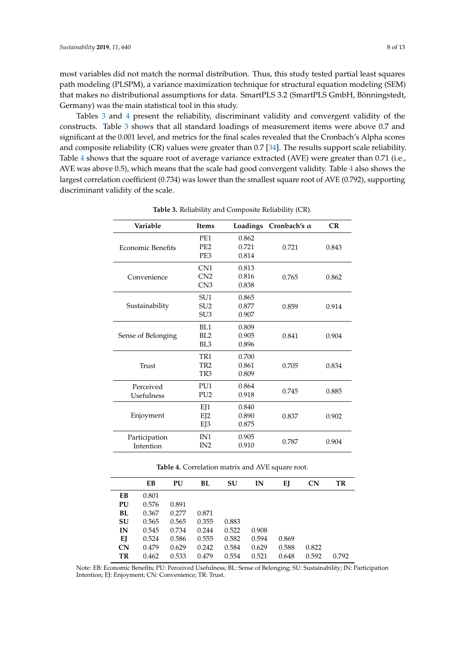most variables did not match the normal distribution. Thus, this study tested partial least squares path modeling (PLSPM), a variance maximization technique for structural equation modeling (SEM) that makes no distributional assumptions for data. SmartPLS 3.2 (SmartPLS GmbH, Bönningstedt, Germany) was the main statistical tool in this study.

Tables [3](#page-7-0) and [4](#page-7-1) present the reliability, discriminant validity and convergent validity of the constructs. Table [3](#page-7-0) shows that all standard loadings of measurement items were above 0.7 and significant at the 0.001 level, and metrics for the final scales revealed that the Cronbach's Alpha scores and composite reliability (CR) values were greater than 0.7 [\[34\]](#page-12-8). The results support scale reliability. Table [4](#page-7-1) shows that the square root of average variance extracted (AVE) were greater than 0.71 (i.e., AVE was above 0.5), which means that the scale had good convergent validity. Table [4](#page-7-1) also shows the largest correlation coefficient (0.734) was lower than the smallest square root of AVE (0.792), supporting discriminant validity of the scale.

<span id="page-7-0"></span>

| Variable                 | <b>Items</b>    | Loadings | Cronbach's $\alpha$ | CR    |
|--------------------------|-----------------|----------|---------------------|-------|
|                          | PE <sub>1</sub> | 0.862    |                     |       |
| <b>Economic Benefits</b> | PE <sub>2</sub> | 0.721    | 0.721               | 0.843 |
|                          | PE3             | 0.814    |                     |       |
|                          | CN <sub>1</sub> | 0.813    |                     |       |
| Convenience              | CN <sub>2</sub> | 0.816    | 0.765               | 0.862 |
|                          | CN3             | 0.838    |                     |       |
|                          | SU <sub>1</sub> | 0.865    |                     |       |
| Sustainability           | SU <sub>2</sub> | 0.877    | 0.859               | 0.914 |
|                          | SU <sub>3</sub> | 0.907    |                     |       |
|                          | BL1             | 0.809    |                     |       |
| Sense of Belonging       | BL <sub>2</sub> | 0.905    | 0.841               | 0.904 |
|                          | BL3             | 0.896    |                     |       |
|                          | TR <sub>1</sub> | 0.700    |                     |       |
| Trust                    | TR <sub>2</sub> | 0.861    | 0.705               | 0.834 |
|                          | TR3             | 0.809    |                     |       |
| Perceived                | PU <sub>1</sub> | 0.864    |                     |       |
| Usefulness               | PU <sub>2</sub> | 0.918    | 0.745               | 0.885 |
|                          | EJ1             | 0.840    |                     |       |
| Enjoyment                | EJ2             | 0.890    | 0.837               | 0.902 |
|                          | EJ3             | 0.875    |                     |       |
| Participation            | IN1             | 0.905    |                     |       |
| Intention                | IN2             | 0.910    | 0.787               | 0.904 |

**Table 3.** Reliability and Composite Reliability (CR).

**Table 4.** Correlation matrix and AVE square root.

<span id="page-7-1"></span>

|    | EВ    | PU    | BL    | SU    | IN    | EJ    | CN    | <b>TR</b> |  |
|----|-------|-------|-------|-------|-------|-------|-------|-----------|--|
| EВ | 0.801 |       |       |       |       |       |       |           |  |
| PU | 0.576 | 0.891 |       |       |       |       |       |           |  |
| BL | 0.367 | 0.277 | 0.871 |       |       |       |       |           |  |
| SU | 0.565 | 0.565 | 0.355 | 0.883 |       |       |       |           |  |
| IN | 0.545 | 0.734 | 0.244 | 0.522 | 0.908 |       |       |           |  |
| EJ | 0.524 | 0.586 | 0.555 | 0.582 | 0.594 | 0.869 |       |           |  |
| CN | 0.479 | 0.629 | 0.242 | 0.584 | 0.629 | 0.588 | 0.822 |           |  |
| TR | 0.462 | 0.533 | 0.479 | 0.554 | 0.521 | 0.648 | 0.592 | 0.792     |  |
|    |       |       |       |       |       |       |       |           |  |

Note: EB: Economic Benefits; PU: Perceived Usefulness; BL: Sense of Belonging; SU: Sustainability; IN: Participation Intention; EJ: Enjoyment; CN: Convenience; TR: Trust.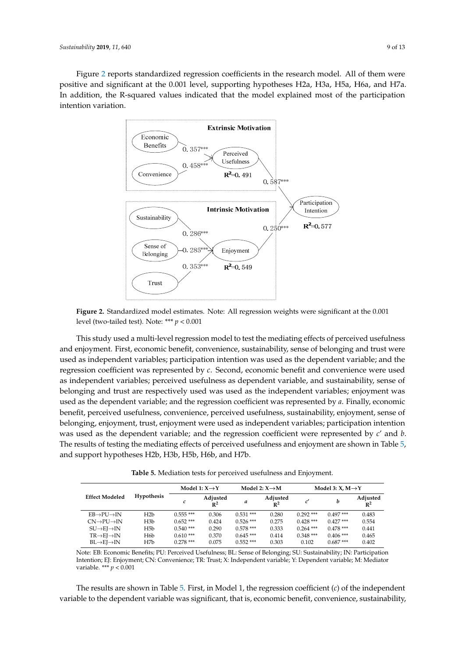<span id="page-8-0"></span>Figure [2](#page-8-0) reports standardized regression coefficients in the research model. All of them were positive and significant at the 0.001 level, supporting hypotheses H2a, H3a, H5a, H6a, and H7a. In addition, the R-squared values indicated that the model explained most of the participation intention variation.



**Figure 2.** Standardized model estimates. Note: All regression weights were significant at the 0.001 **Figure 2.** Standardized model estimates. Note: All regression weights were significant at the 0.001 level (two-tailed test). Note: \*\*\* *p* < 0.001 level (two-tailed test). Note: \*\*\* *p* < 0.001

This study used a multi-level regression model to test the mediating effects of perceived This study used a multi-level regression model to test the mediating effects of perceived usefulness and enjoyment. First, economic benefit, convenience, sustainability, sense of belonging and trust were<br> used as independent variables; participation intention was used as the dependent variable; and the regression coefficient was represented by *c*. Second, economic benefit and convenience were used as independent variables; perceived usefulness as dependent variable, and sustainability, sense of<br>. belonging and trust are respectively used was used as the independent variables; enjoyment was vertex to the independent variables; enjoyment was used as the dependent variable; and the regression coefficient was represented by *a*. Finally, economic<br>. benefit, perceived usefulness, convenience, perceived usefulness, sustainability, enjoyment, sense of<br>. belonging, enjoyment, trust, enjoyment were used as independent variables; participation intention<br>
intention was used as the dependent variable; and the regression coefficient were represented by *c*' and *b*.<br>The regression coefficient were represented by *c*' and *b*. The results of testing the mediating effects of perceived usefulness and enjoyment are shown in Table [5,](#page-8-1)<br>The results of testing the mediating effects of perceived usefulness and enjoyment are shown in Table 5, and support hypotheses H2b, H3b, H5b, H6b, and H7b.

**Table 5.** Mediation tests for perceived usefulness and Enjoyment. **Table 5.** Mediation tests for perceived usefulness and Enjoyment.

<span id="page-8-1"></span>

|                                    |                   | Model 1: $X \rightarrow Y$ |                            | Model 2: $X \rightarrow M$ |                            | Model 3: $X, M \rightarrow Y$ |             |                            |
|------------------------------------|-------------------|----------------------------|----------------------------|----------------------------|----------------------------|-------------------------------|-------------|----------------------------|
| <b>Effect Modeled</b>              | <b>Hypothesis</b> | c                          | Adjusted<br>$\mathbb{R}^2$ | а                          | Adjusted<br>$\mathbb{R}^2$ | c                             | b           | Adjusted<br>$\mathbb{R}^2$ |
| $EB \rightarrow PU \rightarrow IN$ | H <sub>2</sub> b  | $0.555***$                 | 0.306                      | $0.531***$                 | 0.280                      | $0.292$ ***                   | $0.497***$  | 0.483                      |
| $CN\rightarrow PU\rightarrow IN$   | H <sub>3</sub> b  | $0.652$ ***                | 0.424                      | $0.526$ ***                | 0.275                      | $0.428$ ***                   | $0.427***$  | 0.554                      |
| $SU\rightarrow EI\rightarrow IN$   | H5b               | $0.540***$                 | 0.290                      | $0.578***$                 | 0.333                      | $0.264$ ***                   | $0.478$ *** | 0.441                      |
| $TR \rightarrow EI \rightarrow IN$ | H6b               | $0.610***$                 | 0.370                      | $0.645***$                 | 0.414                      | $0.348***$                    | $0.406$ *** | 0.465                      |
| $BL \rightarrow EI \rightarrow IN$ | H7b               | $0.278$ ***                | 0.075                      | $0.552$ ***                | 0.303                      | 0.102                         | $0.687***$  | 0.402                      |

Note: EB: Economic Benefits; PU: Perceived Usefulness; BL: Sense of Belonging; SU: Sustainability; IN: Participation variable. \*\*\*  $p < 0.001$ Intention; EJ: Enjoyment; CN: Convenience; TR: Trust; X: Independent variable; Y: Dependent variable; M: Mediator

The results are shown in Table [5.](#page-8-1) First, in Model 1, the regression coefficient (*c*) of the independent variable to the dependent variable was significant, that is, economic benefit, convenience, sustainability,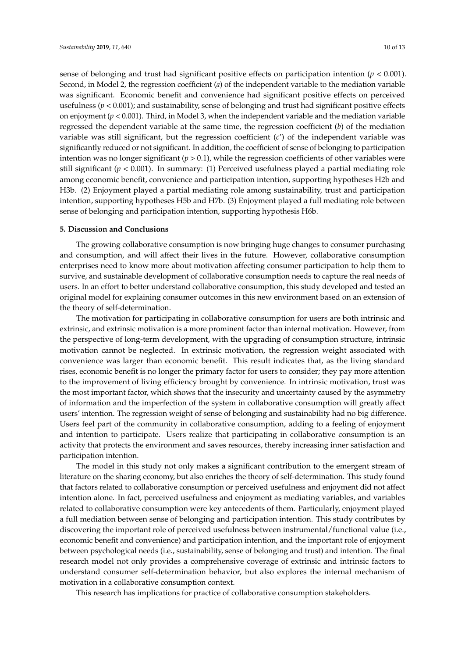sense of belonging and trust had significant positive effects on participation intention (*p* < 0.001). Second, in Model 2, the regression coefficient (*a*) of the independent variable to the mediation variable was significant. Economic benefit and convenience had significant positive effects on perceived usefulness (*p* < 0.001); and sustainability, sense of belonging and trust had significant positive effects on enjoyment (*p* < 0.001). Third, in Model 3, when the independent variable and the mediation variable regressed the dependent variable at the same time, the regression coefficient (*b*) of the mediation variable was still significant, but the regression coefficient (*c*') of the independent variable was significantly reduced or not significant. In addition, the coefficient of sense of belonging to participation intention was no longer significant  $(p > 0.1)$ , while the regression coefficients of other variables were still significant ( $p < 0.001$ ). In summary: (1) Perceived usefulness played a partial mediating role among economic benefit, convenience and participation intention, supporting hypotheses H2b and H3b. (2) Enjoyment played a partial mediating role among sustainability, trust and participation intention, supporting hypotheses H5b and H7b. (3) Enjoyment played a full mediating role between sense of belonging and participation intention, supporting hypothesis H6b.

#### **5. Discussion and Conclusions**

The growing collaborative consumption is now bringing huge changes to consumer purchasing and consumption, and will affect their lives in the future. However, collaborative consumption enterprises need to know more about motivation affecting consumer participation to help them to survive, and sustainable development of collaborative consumption needs to capture the real needs of users. In an effort to better understand collaborative consumption, this study developed and tested an original model for explaining consumer outcomes in this new environment based on an extension of the theory of self-determination.

The motivation for participating in collaborative consumption for users are both intrinsic and extrinsic, and extrinsic motivation is a more prominent factor than internal motivation. However, from the perspective of long-term development, with the upgrading of consumption structure, intrinsic motivation cannot be neglected. In extrinsic motivation, the regression weight associated with convenience was larger than economic benefit. This result indicates that, as the living standard rises, economic benefit is no longer the primary factor for users to consider; they pay more attention to the improvement of living efficiency brought by convenience. In intrinsic motivation, trust was the most important factor, which shows that the insecurity and uncertainty caused by the asymmetry of information and the imperfection of the system in collaborative consumption will greatly affect users' intention. The regression weight of sense of belonging and sustainability had no big difference. Users feel part of the community in collaborative consumption, adding to a feeling of enjoyment and intention to participate. Users realize that participating in collaborative consumption is an activity that protects the environment and saves resources, thereby increasing inner satisfaction and participation intention.

The model in this study not only makes a significant contribution to the emergent stream of literature on the sharing economy, but also enriches the theory of self-determination. This study found that factors related to collaborative consumption or perceived usefulness and enjoyment did not affect intention alone. In fact, perceived usefulness and enjoyment as mediating variables, and variables related to collaborative consumption were key antecedents of them. Particularly, enjoyment played a full mediation between sense of belonging and participation intention. This study contributes by discovering the important role of perceived usefulness between instrumental/functional value (i.e., economic benefit and convenience) and participation intention, and the important role of enjoyment between psychological needs (i.e., sustainability, sense of belonging and trust) and intention. The final research model not only provides a comprehensive coverage of extrinsic and intrinsic factors to understand consumer self-determination behavior, but also explores the internal mechanism of motivation in a collaborative consumption context.

This research has implications for practice of collaborative consumption stakeholders.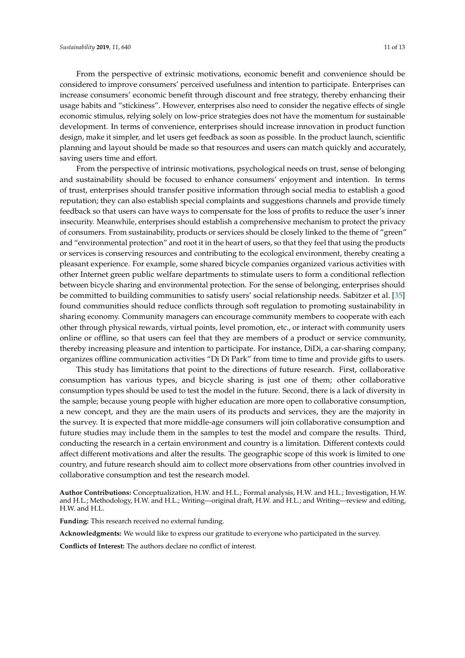From the perspective of extrinsic motivations, economic benefit and convenience should be considered to improve consumers' perceived usefulness and intention to participate. Enterprises can increase consumers' economic benefit through discount and free strategy, thereby enhancing their usage habits and "stickiness". However, enterprises also need to consider the negative effects of single economic stimulus, relying solely on low-price strategies does not have the momentum for sustainable development. In terms of convenience, enterprises should increase innovation in product function design, make it simpler, and let users get feedback as soon as possible. In the product launch, scientific planning and layout should be made so that resources and users can match quickly and accurately, saving users time and effort.

From the perspective of intrinsic motivations, psychological needs on trust, sense of belonging and sustainability should be focused to enhance consumers' enjoyment and intention. In terms of trust, enterprises should transfer positive information through social media to establish a good reputation; they can also establish special complaints and suggestions channels and provide timely feedback so that users can have ways to compensate for the loss of profits to reduce the user's inner insecurity. Meanwhile, enterprises should establish a comprehensive mechanism to protect the privacy of consumers. From sustainability, products or services should be closely linked to the theme of "green" and "environmental protection" and root it in the heart of users, so that they feel that using the products or services is conserving resources and contributing to the ecological environment, thereby creating a pleasant experience. For example, some shared bicycle companies organized various activities with other Internet green public welfare departments to stimulate users to form a conditional reflection between bicycle sharing and environmental protection. For the sense of belonging, enterprises should be committed to building communities to satisfy users' social relationship needs. Sabitzer et al. [\[35\]](#page-12-9) found communities should reduce conflicts through soft regulation to promoting sustainability in sharing economy. Community managers can encourage community members to cooperate with each other through physical rewards, virtual points, level promotion, etc., or interact with community users online or offline, so that users can feel that they are members of a product or service community, thereby increasing pleasure and intention to participate. For instance, DiDi, a car-sharing company, organizes offline communication activities "Di Di Park" from time to time and provide gifts to users.

This study has limitations that point to the directions of future research. First, collaborative consumption has various types, and bicycle sharing is just one of them; other collaborative consumption types should be used to test the model in the future. Second, there is a lack of diversity in the sample; because young people with higher education are more open to collaborative consumption, a new concept, and they are the main users of its products and services, they are the majority in the survey. It is expected that more middle-age consumers will join collaborative consumption and future studies may include them in the samples to test the model and compare the results. Third, conducting the research in a certain environment and country is a limitation. Different contexts could affect different motivations and alter the results. The geographic scope of this work is limited to one country, and future research should aim to collect more observations from other countries involved in collaborative consumption and test the research model.

**Author Contributions:** Conceptualization, H.W. and H.L.; Formal analysis, H.W. and H.L.; Investigation, H.W. and H.L.; Methodology, H.W. and H.L.; Writing—original draft, H.W. and H.L.; and Writing—review and editing, H.W. and H.L.

**Funding:** This research received no external funding.

**Acknowledgments:** We would like to express our gratitude to everyone who participated in the survey.

**Conflicts of Interest:** The authors declare no conflict of interest.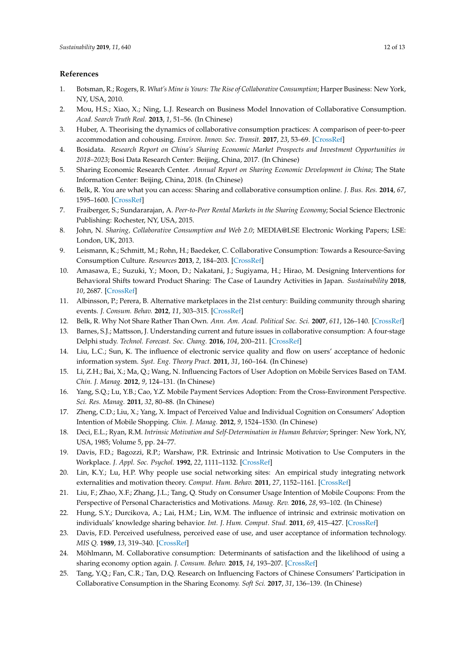## **References**

- <span id="page-11-0"></span>1. Botsman, R.; Rogers, R. *What's Mine is Yours: The Rise of Collaborative Consumption*; Harper Business: New York, NY, USA, 2010.
- <span id="page-11-1"></span>2. Mou, H.S.; Xiao, X.; Ning, L.J. Research on Business Model Innovation of Collaborative Consumption. *Acad. Search Truth Real.* **2013**, *1*, 51–56. (In Chinese)
- <span id="page-11-2"></span>3. Huber, A. Theorising the dynamics of collaborative consumption practices: A comparison of peer-to-peer accommodation and cohousing. *Environ. Innov. Soc. Transit.* **2017**, *23*, 53–69. [\[CrossRef\]](http://dx.doi.org/10.1016/j.eist.2016.12.001)
- <span id="page-11-3"></span>4. Bosidata. *Research Report on China's Sharing Economic Market Prospects and Investment Opportunities in 2018–2023*; Bosi Data Research Center: Beijing, China, 2017. (In Chinese)
- <span id="page-11-4"></span>5. Sharing Economic Research Center. *Annual Report on Sharing Economic Development in China*; The State Information Center: Beijing, China, 2018. (In Chinese)
- <span id="page-11-5"></span>6. Belk, R. You are what you can access: Sharing and collaborative consumption online. *J. Bus. Res.* **2014**, *67*, 1595–1600. [\[CrossRef\]](http://dx.doi.org/10.1016/j.jbusres.2013.10.001)
- <span id="page-11-6"></span>7. Fraiberger, S.; Sundararajan, A. *Peer-to-Peer Rental Markets in the Sharing Economy*; Social Science Electronic Publishing: Rochester, NY, USA, 2015.
- <span id="page-11-7"></span>8. John, N. *Sharing, Collaborative Consumption and Web 2.0*; MEDIA@LSE Electronic Working Papers; LSE: London, UK, 2013.
- <span id="page-11-8"></span>9. Leismann, K.; Schmitt, M.; Rohn, H.; Baedeker, C. Collaborative Consumption: Towards a Resource-Saving Consumption Culture. *Resources* **2013**, *2*, 184–203. [\[CrossRef\]](http://dx.doi.org/10.3390/resources2030184)
- <span id="page-11-9"></span>10. Amasawa, E.; Suzuki, Y.; Moon, D.; Nakatani, J.; Sugiyama, H.; Hirao, M. Designing Interventions for Behavioral Shifts toward Product Sharing: The Case of Laundry Activities in Japan. *Sustainability* **2018**, *10*, 2687. [\[CrossRef\]](http://dx.doi.org/10.3390/su10082687)
- <span id="page-11-10"></span>11. Albinsson, P.; Perera, B. Alternative marketplaces in the 21st century: Building community through sharing events. *J. Consum. Behav.* **2012**, *11*, 303–315. [\[CrossRef\]](http://dx.doi.org/10.1002/cb.1389)
- <span id="page-11-11"></span>12. Belk, R. Why Not Share Rather Than Own. *Ann. Am. Acad. Political Soc. Sci.* **2007**, *611*, 126–140. [\[CrossRef\]](http://dx.doi.org/10.1177/0002716206298483)
- <span id="page-11-12"></span>13. Barnes, S.J.; Mattsson, J. Understanding current and future issues in collaborative consumption: A four-stage Delphi study. *Technol. Forecast. Soc. Chang.* **2016**, *104*, 200–211. [\[CrossRef\]](http://dx.doi.org/10.1016/j.techfore.2016.01.006)
- <span id="page-11-13"></span>14. Liu, L.C.; Sun, K. The influence of electronic service quality and flow on users' acceptance of hedonic information system. *Syst. Eng. Theory Pract.* **2011**, *31*, 160–164. (In Chinese)
- <span id="page-11-14"></span>15. Li, Z.H.; Bai, X.; Ma, Q.; Wang, N. Influencing Factors of User Adoption on Mobile Services Based on TAM. *Chin. J. Manag.* **2012**, *9*, 124–131. (In Chinese)
- <span id="page-11-15"></span>16. Yang, S.Q.; Lu, Y.B.; Cao, Y.Z. Mobile Payment Services Adoption: From the Cross-Environment Perspective. *Sci. Res. Manag.* **2011**, *32*, 80–88. (In Chinese)
- <span id="page-11-16"></span>17. Zheng, C.D.; Liu, X.; Yang, X. Impact of Perceived Value and Individual Cognition on Consumers' Adoption Intention of Mobile Shopping. *Chin. J. Manag.* **2012**, *9*, 1524–1530. (In Chinese)
- <span id="page-11-17"></span>18. Deci, E.L.; Ryan, R.M. *Intrinsic Motivation and Self-Determination in Human Behavior*; Springer: New York, NY, USA, 1985; Volume 5, pp. 24–77.
- <span id="page-11-18"></span>19. Davis, F.D.; Bagozzi, R.P.; Warshaw, P.R. Extrinsic and Intrinsic Motivation to Use Computers in the Workplace. *J. Appl. Soc. Psychol.* **1992**, *22*, 1111–1132. [\[CrossRef\]](http://dx.doi.org/10.1111/j.1559-1816.1992.tb00945.x)
- <span id="page-11-19"></span>20. Lin, K.Y.; Lu, H.P. Why people use social networking sites: An empirical study integrating network externalities and motivation theory. *Comput. Hum. Behav.* **2011**, *27*, 1152–1161. [\[CrossRef\]](http://dx.doi.org/10.1016/j.chb.2010.12.009)
- <span id="page-11-20"></span>21. Liu, F.; Zhao, X.F.; Zhang, J.L.; Tang, Q. Study on Consumer Usage Intention of Mobile Coupons: From the Perspective of Personal Characteristics and Motivations. *Manag. Rev.* **2016**, *28*, 93–102. (In Chinese)
- <span id="page-11-21"></span>22. Hung, S.Y.; Durcikova, A.; Lai, H.M.; Lin, W.M. The influence of intrinsic and extrinsic motivation on individuals' knowledge sharing behavior. *Int. J. Hum. Comput. Stud.* **2011**, *69*, 415–427. [\[CrossRef\]](http://dx.doi.org/10.1016/j.ijhcs.2011.02.004)
- <span id="page-11-22"></span>23. Davis, F.D. Perceived usefulness, perceived ease of use, and user acceptance of information technology. *MIS Q.* **1989**, *13*, 319–340. [\[CrossRef\]](http://dx.doi.org/10.2307/249008)
- <span id="page-11-23"></span>24. Möhlmann, M. Collaborative consumption: Determinants of satisfaction and the likelihood of using a sharing economy option again. *J. Consum. Behav.* **2015**, *14*, 193–207. [\[CrossRef\]](http://dx.doi.org/10.1002/cb.1512)
- <span id="page-11-24"></span>25. Tang, Y.Q.; Fan, C.R.; Tan, D.Q. Research on Influencing Factors of Chinese Consumers' Participation in Collaborative Consumption in the Sharing Economy. *Soft Sci.* **2017**, *31*, 136–139. (In Chinese)